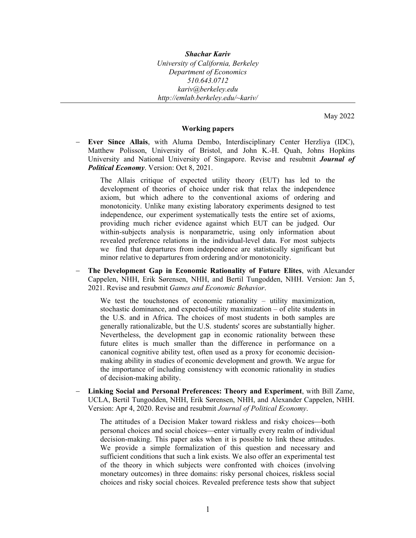*Shachar Kariv University of California, Berkeley Department of Economics 510.643.0712 kariv@berkeley.edu http://emlab.berkeley.edu/~kariv/* 

May 2022

## **Working papers**

 **Ever Since Allais**, with Aluma Dembo, Interdisciplinary Center Herzliya (IDC), Matthew Polisson, University of Bristol, and John K.-H. Quah, Johns Hopkins University and National University of Singapore. Revise and resubmit *Journal of Political Economy*. Version: Oct 8, 2021.

The Allais critique of expected utility theory (EUT) has led to the development of theories of choice under risk that relax the independence axiom, but which adhere to the conventional axioms of ordering and monotonicity. Unlike many existing laboratory experiments designed to test independence, our experiment systematically tests the entire set of axioms, providing much richer evidence against which EUT can be judged. Our within-subjects analysis is nonparametric, using only information about revealed preference relations in the individual-level data. For most subjects we find that departures from independence are statistically significant but minor relative to departures from ordering and/or monotonicity.

 **The Development Gap in Economic Rationality of Future Elites**, with Alexander Cappelen, NHH, Erik Sørensen, NHH, and Bertil Tungodden, NHH. Version: Jan 5, 2021. Revise and resubmit *Games and Economic Behavior*.

We test the touchstones of economic rationality – utility maximization, stochastic dominance, and expected-utility maximization – of elite students in the U.S. and in Africa. The choices of most students in both samples are generally rationalizable, but the U.S. students' scores are substantially higher. Nevertheless, the development gap in economic rationality between these future elites is much smaller than the difference in performance on a canonical cognitive ability test, often used as a proxy for economic decisionmaking ability in studies of economic development and growth. We argue for the importance of including consistency with economic rationality in studies of decision-making ability.

 **Linking Social and Personal Preferences: Theory and Experiment**, with Bill Zame, UCLA, Bertil Tungodden, NHH, Erik Sørensen, NHH, and Alexander Cappelen, NHH. Version: Apr 4, 2020. Revise and resubmit *Journal of Political Economy*.

The attitudes of a Decision Maker toward riskless and risky choices—both personal choices and social choices—enter virtually every realm of individual decision-making. This paper asks when it is possible to link these attitudes. We provide a simple formalization of this question and necessary and sufficient conditions that such a link exists. We also offer an experimental test of the theory in which subjects were confronted with choices (involving monetary outcomes) in three domains: risky personal choices, riskless social choices and risky social choices. Revealed preference tests show that subject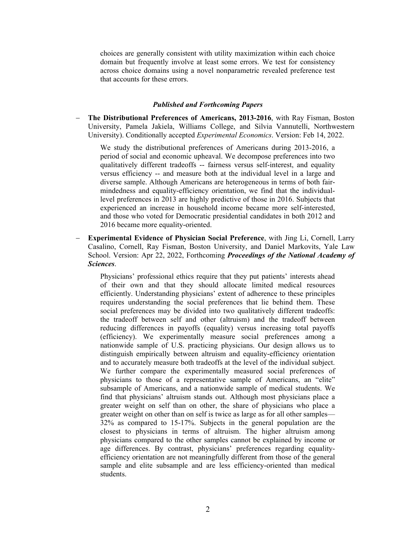choices are generally consistent with utility maximization within each choice domain but frequently involve at least some errors. We test for consistency across choice domains using a novel nonparametric revealed preference test that accounts for these errors.

## *Published and Forthcoming Papers*

 **The Distributional Preferences of Americans, 2013-2016**, with Ray Fisman, Boston University, Pamela Jakiela, Williams College, and Silvia Vannutelli, Northwestern University). Conditionally accepted *Experimental Economics*. Version: Feb 14, 2022.

We study the distributional preferences of Americans during 2013-2016, a period of social and economic upheaval. We decompose preferences into two qualitatively different tradeoffs -- fairness versus self-interest, and equality versus efficiency -- and measure both at the individual level in a large and diverse sample. Although Americans are heterogeneous in terms of both fairmindedness and equality-efficiency orientation, we find that the individuallevel preferences in 2013 are highly predictive of those in 2016. Subjects that experienced an increase in household income became more self-interested, and those who voted for Democratic presidential candidates in both 2012 and 2016 became more equality-oriented.

 **Experimental Evidence of Physician Social Preference**, with Jing Li, Cornell, Larry Casalino, Cornell, Ray Fisman, Boston University, and Daniel Markovits, Yale Law School. Version: Apr 22, 2022, Forthcoming *Proceedings of the National Academy of Sciences*.

Physicians' professional ethics require that they put patients' interests ahead of their own and that they should allocate limited medical resources efficiently. Understanding physicians' extent of adherence to these principles requires understanding the social preferences that lie behind them. These social preferences may be divided into two qualitatively different tradeoffs: the tradeoff between self and other (altruism) and the tradeoff between reducing differences in payoffs (equality) versus increasing total payoffs (efficiency). We experimentally measure social preferences among a nationwide sample of U.S. practicing physicians. Our design allows us to distinguish empirically between altruism and equality-efficiency orientation and to accurately measure both tradeoffs at the level of the individual subject. We further compare the experimentally measured social preferences of physicians to those of a representative sample of Americans, an "elite" subsample of Americans, and a nationwide sample of medical students. We find that physicians' altruism stands out. Although most physicians place a greater weight on self than on other, the share of physicians who place a greater weight on other than on self is twice as large as for all other samples— 32% as compared to 15-17%. Subjects in the general population are the closest to physicians in terms of altruism. The higher altruism among physicians compared to the other samples cannot be explained by income or age differences. By contrast, physicians' preferences regarding equalityefficiency orientation are not meaningfully different from those of the general sample and elite subsample and are less efficiency-oriented than medical students.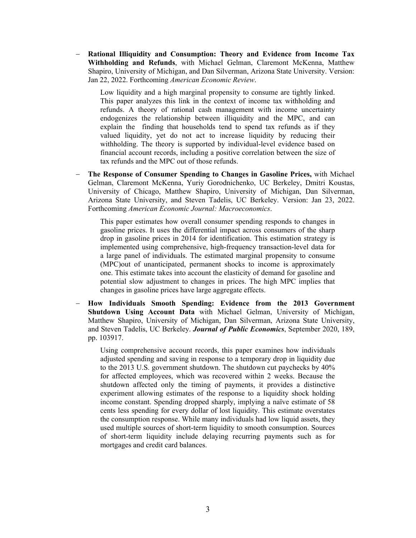**Rational Illiquidity and Consumption: Theory and Evidence from Income Tax Withholding and Refunds**, with Michael Gelman, Claremont McKenna, Matthew Shapiro, University of Michigan, and Dan Silverman, Arizona State University. Version: Jan 22, 2022. Forthcoming *American Economic Review*.

Low liquidity and a high marginal propensity to consume are tightly linked. This paper analyzes this link in the context of income tax withholding and refunds. A theory of rational cash management with income uncertainty endogenizes the relationship between illiquidity and the MPC, and can explain the finding that households tend to spend tax refunds as if they valued liquidity, yet do not act to increase liquidity by reducing their withholding. The theory is supported by individual-level evidence based on financial account records, including a positive correlation between the size of tax refunds and the MPC out of those refunds.

 **The Response of Consumer Spending to Changes in Gasoline Prices,** with Michael Gelman, Claremont McKenna, Yuriy Gorodnichenko, UC Berkeley, Dmitri Koustas, University of Chicago, Matthew Shapiro, University of Michigan, Dan Silverman, Arizona State University, and Steven Tadelis, UC Berkeley. Version: Jan 23, 2022. Forthcoming *American Economic Journal: Macroeconomics*.

This paper estimates how overall consumer spending responds to changes in gasoline prices. It uses the differential impact across consumers of the sharp drop in gasoline prices in 2014 for identification. This estimation strategy is implemented using comprehensive, high-frequency transaction-level data for a large panel of individuals. The estimated marginal propensity to consume (MPC)out of unanticipated, permanent shocks to income is approximately one. This estimate takes into account the elasticity of demand for gasoline and potential slow adjustment to changes in prices. The high MPC implies that changes in gasoline prices have large aggregate effects.

 **How Individuals Smooth Spending: Evidence from the 2013 Government Shutdown Using Account Data** with Michael Gelman, University of Michigan, Matthew Shapiro, University of Michigan, Dan Silverman, Arizona State University, and Steven Tadelis, UC Berkeley. *Journal of Public Economics*, September 2020, 189, pp. 103917.

Using comprehensive account records, this paper examines how individuals adjusted spending and saving in response to a temporary drop in liquidity due to the 2013 U.S. government shutdown. The shutdown cut paychecks by 40% for affected employees, which was recovered within 2 weeks. Because the shutdown affected only the timing of payments, it provides a distinctive experiment allowing estimates of the response to a liquidity shock holding income constant. Spending dropped sharply, implying a naïve estimate of 58 cents less spending for every dollar of lost liquidity. This estimate overstates the consumption response. While many individuals had low liquid assets, they used multiple sources of short-term liquidity to smooth consumption. Sources of short-term liquidity include delaying recurring payments such as for mortgages and credit card balances.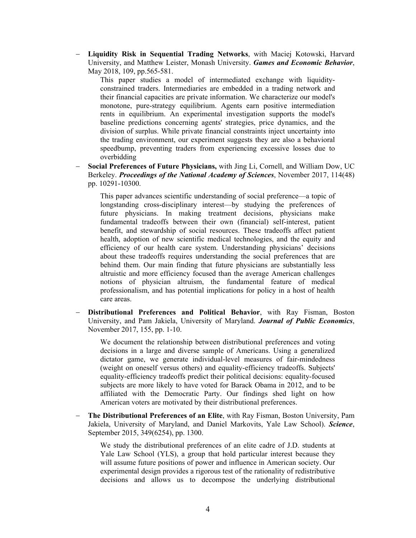**Liquidity Risk in Sequential Trading Networks**, with Maciej Kotowski, Harvard University, and Matthew Leister, Monash University. *Games and Economic Behavior*, May 2018, 109, pp.565-581.

This paper studies a model of intermediated exchange with liquidityconstrained traders. Intermediaries are embedded in a trading network and their financial capacities are private information. We characterize our model's monotone, pure-strategy equilibrium. Agents earn positive intermediation rents in equilibrium. An experimental investigation supports the model's baseline predictions concerning agents' strategies, price dynamics, and the division of surplus. While private financial constraints inject uncertainty into the trading environment, our experiment suggests they are also a behavioral speedbump, preventing traders from experiencing excessive losses due to overbidding

 **Social Preferences of Future Physicians,** with Jing Li, Cornell, and William Dow, UC Berkeley. *Proceedings of the National Academy of Sciences*, November 2017, 114(48) pp. 10291-10300.

This paper advances scientific understanding of social preference—a topic of longstanding cross-disciplinary interest—by studying the preferences of future physicians. In making treatment decisions, physicians make fundamental tradeoffs between their own (financial) self-interest, patient benefit, and stewardship of social resources. These tradeoffs affect patient health, adoption of new scientific medical technologies, and the equity and efficiency of our health care system. Understanding physicians' decisions about these tradeoffs requires understanding the social preferences that are behind them. Our main finding that future physicians are substantially less altruistic and more efficiency focused than the average American challenges notions of physician altruism, the fundamental feature of medical professionalism, and has potential implications for policy in a host of health care areas.

 **Distributional Preferences and Political Behavior**, with Ray Fisman, Boston University, and Pam Jakiela, University of Maryland. *Journal of Public Economics*, November 2017, 155, pp. 1-10.

We document the relationship between distributional preferences and voting decisions in a large and diverse sample of Americans. Using a generalized dictator game, we generate individual-level measures of fair-mindedness (weight on oneself versus others) and equality-efficiency tradeoffs. Subjects' equality-efficiency tradeoffs predict their political decisions: equality-focused subjects are more likely to have voted for Barack Obama in 2012, and to be affiliated with the Democratic Party. Our findings shed light on how American voters are motivated by their distributional preferences.

 **The Distributional Preferences of an Elite**, with Ray Fisman, Boston University, Pam Jakiela, University of Maryland, and Daniel Markovits, Yale Law School). *Science*, September 2015, 349(6254), pp. 1300.

We study the distributional preferences of an elite cadre of J.D. students at Yale Law School (YLS), a group that hold particular interest because they will assume future positions of power and influence in American society. Our experimental design provides a rigorous test of the rationality of redistributive decisions and allows us to decompose the underlying distributional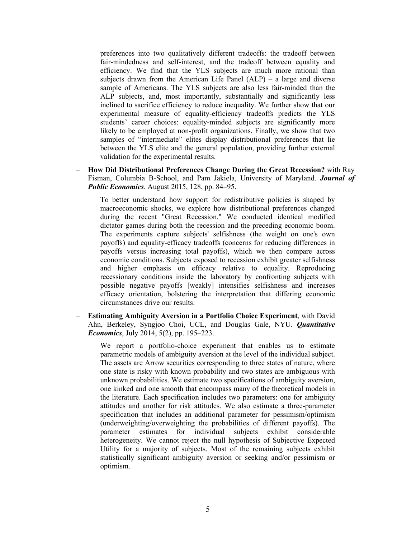preferences into two qualitatively different tradeoffs: the tradeoff between fair-mindedness and self-interest, and the tradeoff between equality and efficiency. We find that the YLS subjects are much more rational than subjects drawn from the American Life Panel  $(ALP)$  – a large and diverse sample of Americans. The YLS subjects are also less fair-minded than the ALP subjects, and, most importantly, substantially and significantly less inclined to sacrifice efficiency to reduce inequality. We further show that our experimental measure of equality-efficiency tradeoffs predicts the YLS students' career choices: equality-minded subjects are significantly more likely to be employed at non-profit organizations. Finally, we show that two samples of "intermediate" elites display distributional preferences that lie between the YLS elite and the general population, providing further external validation for the experimental results.

 **How Did Distributional Preferences Change During the Great Recession?** with Ray Fisman, Columbia B-School, and Pam Jakiela, University of Maryland. *Journal of Public Economics*. August 2015, 128, pp. 84–95.

To better understand how support for redistributive policies is shaped by macroeconomic shocks, we explore how distributional preferences changed during the recent "Great Recession." We conducted identical modified dictator games during both the recession and the preceding economic boom. The experiments capture subjects' selfishness (the weight on one's own payoffs) and equality-efficacy tradeoffs (concerns for reducing differences in payoffs versus increasing total payoffs), which we then compare across economic conditions. Subjects exposed to recession exhibit greater selfishness and higher emphasis on efficacy relative to equality. Reproducing recessionary conditions inside the laboratory by confronting subjects with possible negative payoffs [weakly] intensifies selfishness and increases efficacy orientation, bolstering the interpretation that differing economic circumstances drive our results.

 **Estimating Ambiguity Aversion in a Portfolio Choice Experiment**, with David Ahn, Berkeley, Syngjoo Choi, UCL, and Douglas Gale, NYU. *Quantitative Economics*, July 2014, 5(2), pp. 195–223.

We report a portfolio-choice experiment that enables us to estimate parametric models of ambiguity aversion at the level of the individual subject. The assets are Arrow securities corresponding to three states of nature, where one state is risky with known probability and two states are ambiguous with unknown probabilities. We estimate two specifications of ambiguity aversion, one kinked and one smooth that encompass many of the theoretical models in the literature. Each specification includes two parameters: one for ambiguity attitudes and another for risk attitudes. We also estimate a three-parameter specification that includes an additional parameter for pessimism/optimism (underweighting/overweighting the probabilities of different payoffs). The parameter estimates for individual subjects exhibit considerable heterogeneity. We cannot reject the null hypothesis of Subjective Expected Utility for a majority of subjects. Most of the remaining subjects exhibit statistically significant ambiguity aversion or seeking and/or pessimism or optimism.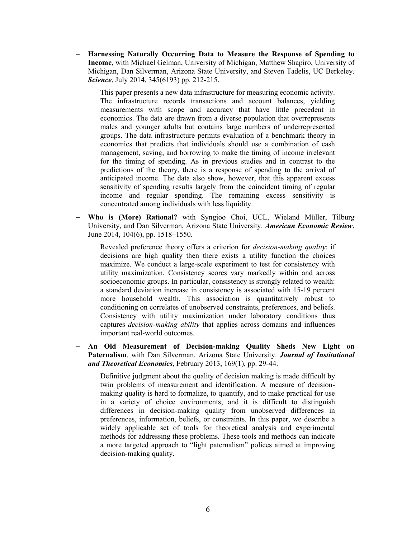**Harnessing Naturally Occurring Data to Measure the Response of Spending to Income,** with Michael Gelman, University of Michigan, Matthew Shapiro, University of Michigan, Dan Silverman, Arizona State University, and Steven Tadelis, UC Berkeley. *Science*, July 2014, 345(6193) pp. 212-215.

This paper presents a new data infrastructure for measuring economic activity. The infrastructure records transactions and account balances, yielding measurements with scope and accuracy that have little precedent in economics. The data are drawn from a diverse population that overrepresents males and younger adults but contains large numbers of underrepresented groups. The data infrastructure permits evaluation of a benchmark theory in economics that predicts that individuals should use a combination of cash management, saving, and borrowing to make the timing of income irrelevant for the timing of spending. As in previous studies and in contrast to the predictions of the theory, there is a response of spending to the arrival of anticipated income. The data also show, however, that this apparent excess sensitivity of spending results largely from the coincident timing of regular income and regular spending. The remaining excess sensitivity is concentrated among individuals with less liquidity.

 **Who is (More) Rational?** with Syngjoo Choi, UCL, Wieland Müller, Tilburg University, and Dan Silverman, Arizona State University. *American Economic Review*, June 2014, 104(6), pp. 1518–1550.

Revealed preference theory offers a criterion for *decision-making quality*: if decisions are high quality then there exists a utility function the choices maximize. We conduct a large-scale experiment to test for consistency with utility maximization. Consistency scores vary markedly within and across socioeconomic groups. In particular, consistency is strongly related to wealth: a standard deviation increase in consistency is associated with 15-19 percent more household wealth. This association is quantitatively robust to conditioning on correlates of unobserved constraints, preferences, and beliefs. Consistency with utility maximization under laboratory conditions thus captures *decision-making ability* that applies across domains and influences important real-world outcomes.

 **An Old Measurement of Decision-making Quality Sheds New Light on Paternalism**, with Dan Silverman, Arizona State University. *Journal of Institutional and Theoretical Economics*, February 2013, 169(1), pp. 29-44.

Definitive judgment about the quality of decision making is made difficult by twin problems of measurement and identification. A measure of decisionmaking quality is hard to formalize, to quantify, and to make practical for use in a variety of choice environments; and it is difficult to distinguish differences in decision-making quality from unobserved differences in preferences, information, beliefs, or constraints. In this paper, we describe a widely applicable set of tools for theoretical analysis and experimental methods for addressing these problems. These tools and methods can indicate a more targeted approach to "light paternalism" polices aimed at improving decision-making quality.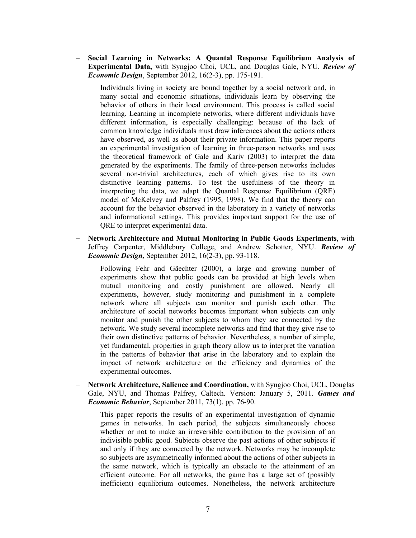**Social Learning in Networks: A Quantal Response Equilibrium Analysis of Experimental Data,** with Syngjoo Choi, UCL, and Douglas Gale, NYU. *Review of Economic Design*, September 2012, 16(2-3), pp. 175-191.

Individuals living in society are bound together by a social network and, in many social and economic situations, individuals learn by observing the behavior of others in their local environment. This process is called social learning. Learning in incomplete networks, where different individuals have different information, is especially challenging: because of the lack of common knowledge individuals must draw inferences about the actions others have observed, as well as about their private information. This paper reports an experimental investigation of learning in three-person networks and uses the theoretical framework of Gale and Kariv (2003) to interpret the data generated by the experiments. The family of three-person networks includes several non-trivial architectures, each of which gives rise to its own distinctive learning patterns. To test the usefulness of the theory in interpreting the data, we adapt the Quantal Response Equilibrium (QRE) model of McKelvey and Palfrey (1995, 1998). We find that the theory can account for the behavior observed in the laboratory in a variety of networks and informational settings. This provides important support for the use of QRE to interpret experimental data.

 **Network Architecture and Mutual Monitoring in Public Goods Experiments**, with Jeffrey Carpenter, Middlebury College, and Andrew Schotter, NYU. *Review of Economic Design,* September 2012, 16(2-3), pp. 93-118.

Following Fehr and Gäechter (2000), a large and growing number of experiments show that public goods can be provided at high levels when mutual monitoring and costly punishment are allowed. Nearly all experiments, however, study monitoring and punishment in a complete network where all subjects can monitor and punish each other. The architecture of social networks becomes important when subjects can only monitor and punish the other subjects to whom they are connected by the network. We study several incomplete networks and find that they give rise to their own distinctive patterns of behavior. Nevertheless, a number of simple, yet fundamental, properties in graph theory allow us to interpret the variation in the patterns of behavior that arise in the laboratory and to explain the impact of network architecture on the efficiency and dynamics of the experimental outcomes.

 **Network Architecture, Salience and Coordination,** with Syngjoo Choi, UCL, Douglas Gale, NYU, and Thomas Palfrey, Caltech. Version: January 5, 2011. *Games and Economic Behavior*, September 2011, 73(1), pp. 76-90.

This paper reports the results of an experimental investigation of dynamic games in networks. In each period, the subjects simultaneously choose whether or not to make an irreversible contribution to the provision of an indivisible public good. Subjects observe the past actions of other subjects if and only if they are connected by the network. Networks may be incomplete so subjects are asymmetrically informed about the actions of other subjects in the same network, which is typically an obstacle to the attainment of an efficient outcome. For all networks, the game has a large set of (possibly inefficient) equilibrium outcomes. Nonetheless, the network architecture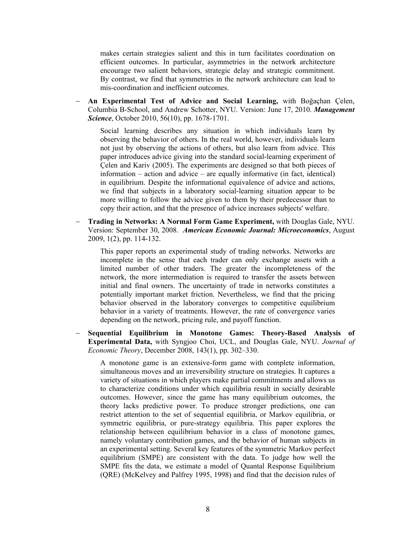makes certain strategies salient and this in turn facilitates coordination on efficient outcomes. In particular, asymmetries in the network architecture encourage two salient behaviors, strategic delay and strategic commitment. By contrast, we find that symmetries in the network architecture can lead to mis-coordination and inefficient outcomes.

 **An Experimental Test of Advice and Social Learning,** with Boğaçhan Çelen, Columbia B-School, and Andrew Schotter, NYU. Version: June 17, 2010. *Management Science*, October 2010, 56(10), pp. 1678-1701.

Social learning describes any situation in which individuals learn by observing the behavior of others. In the real world, however, individuals learn not just by observing the actions of others, but also learn from advice. This paper introduces advice giving into the standard social-learning experiment of Çelen and Kariv (2005). The experiments are designed so that both pieces of information – action and advice – are equally informative (in fact, identical) in equilibrium. Despite the informational equivalence of advice and actions, we find that subjects in a laboratory social-learning situation appear to be more willing to follow the advice given to them by their predecessor than to copy their action, and that the presence of advice increases subjects' welfare.

 **Trading in Networks: A Normal Form Game Experiment,** with Douglas Gale, NYU. Version: September 30, 2008. *American Economic Journal: Microeconomics*, August 2009, 1(2), pp. 114-132.

This paper reports an experimental study of trading networks. Networks are incomplete in the sense that each trader can only exchange assets with a limited number of other traders. The greater the incompleteness of the network, the more intermediation is required to transfer the assets between initial and final owners. The uncertainty of trade in networks constitutes a potentially important market friction. Nevertheless, we find that the pricing behavior observed in the laboratory converges to competitive equilibrium behavior in a variety of treatments. However, the rate of convergence varies depending on the network, pricing rule, and payoff function.

 **Sequential Equilibrium in Monotone Games: Theory-Based Analysis of Experimental Data,** with Syngjoo Choi, UCL, and Douglas Gale, NYU. *Journal of Economic Theory*, December 2008, 143(1), pp. 302–330.

A monotone game is an extensive-form game with complete information, simultaneous moves and an irreversibility structure on strategies. It captures a variety of situations in which players make partial commitments and allows us to characterize conditions under which equilibria result in socially desirable outcomes. However, since the game has many equilibrium outcomes, the theory lacks predictive power. To produce stronger predictions, one can restrict attention to the set of sequential equilibria, or Markov equilibria, or symmetric equilibria, or pure-strategy equilibria. This paper explores the relationship between equilibrium behavior in a class of monotone games, namely voluntary contribution games, and the behavior of human subjects in an experimental setting. Several key features of the symmetric Markov perfect equilibrium (SMPE) are consistent with the data. To judge how well the SMPE fits the data, we estimate a model of Quantal Response Equilibrium (QRE) (McKelvey and Palfrey 1995, 1998) and find that the decision rules of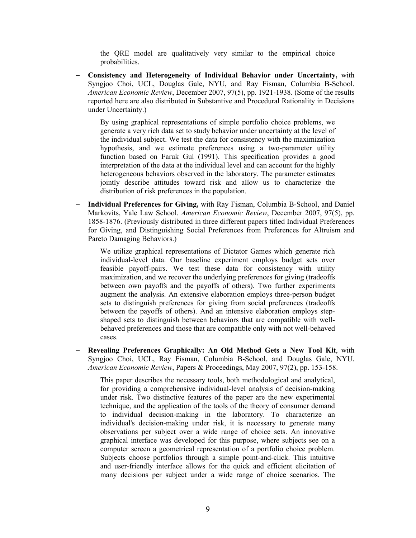the QRE model are qualitatively very similar to the empirical choice probabilities.

 **Consistency and Heterogeneity of Individual Behavior under Uncertainty,** with Syngjoo Choi, UCL, Douglas Gale, NYU, and Ray Fisman, Columbia B-School. *American Economic Review*, December 2007, 97(5), pp. 1921-1938. (Some of the results reported here are also distributed in Substantive and Procedural Rationality in Decisions under Uncertainty.)

By using graphical representations of simple portfolio choice problems, we generate a very rich data set to study behavior under uncertainty at the level of the individual subject. We test the data for consistency with the maximization hypothesis, and we estimate preferences using a two-parameter utility function based on Faruk Gul (1991). This specification provides a good interpretation of the data at the individual level and can account for the highly heterogeneous behaviors observed in the laboratory. The parameter estimates jointly describe attitudes toward risk and allow us to characterize the distribution of risk preferences in the population.

 **Individual Preferences for Giving,** with Ray Fisman, Columbia B-School, and Daniel Markovits, Yale Law School. *American Economic Review*, December 2007, 97(5), pp. 1858-1876. (Previously distributed in three different papers titled Individual Preferences for Giving, and Distinguishing Social Preferences from Preferences for Altruism and Pareto Damaging Behaviors.)

We utilize graphical representations of Dictator Games which generate rich individual-level data. Our baseline experiment employs budget sets over feasible payoff-pairs. We test these data for consistency with utility maximization, and we recover the underlying preferences for giving (tradeoffs between own payoffs and the payoffs of others). Two further experiments augment the analysis. An extensive elaboration employs three-person budget sets to distinguish preferences for giving from social preferences (tradeoffs between the payoffs of others). And an intensive elaboration employs stepshaped sets to distinguish between behaviors that are compatible with wellbehaved preferences and those that are compatible only with not well-behaved cases.

 **Revealing Preferences Graphically: An Old Method Gets a New Tool Kit**, with Syngjoo Choi, UCL, Ray Fisman, Columbia B-School, and Douglas Gale, NYU. *American Economic Review*, Papers & Proceedings, May 2007, 97(2), pp. 153-158.

This paper describes the necessary tools, both methodological and analytical, for providing a comprehensive individual-level analysis of decision-making under risk. Two distinctive features of the paper are the new experimental technique, and the application of the tools of the theory of consumer demand to individual decision-making in the laboratory. To characterize an individual's decision-making under risk, it is necessary to generate many observations per subject over a wide range of choice sets. An innovative graphical interface was developed for this purpose, where subjects see on a computer screen a geometrical representation of a portfolio choice problem. Subjects choose portfolios through a simple point-and-click. This intuitive and user-friendly interface allows for the quick and efficient elicitation of many decisions per subject under a wide range of choice scenarios. The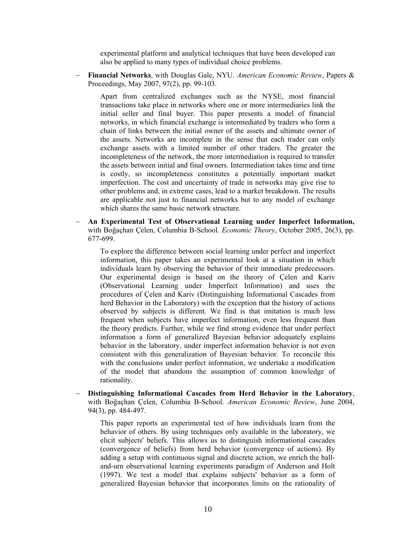experimental platform and analytical techniques that have been developed can also be applied to many types of individual choice problems.

 **Financial Networks**, with Douglas Gale, NYU. *American Economic Review*, Papers & Proceedings, May 2007, 97(2), pp. 99-103.

Apart from centralized exchanges such as the NYSE, most financial transactions take place in networks where one or more intermediaries link the initial seller and final buyer. This paper presents a model of financial networks, in which financial exchange is intermediated by traders who form a chain of links between the initial owner of the assets and ultimate owner of the assets. Networks are incomplete in the sense that each trader can only exchange assets with a limited number of other traders. The greater the incompleteness of the network, the more intermediation is required to transfer the assets between initial and final owners. Intermediation takes time and time is costly, so incompleteness constitutes a potentially important market imperfection. The cost and uncertainty of trade in networks may give rise to other problems and, in extreme cases, lead to a market breakdown. The results are applicable not just to financial networks but to any model of exchange which shares the same basic network structure.

 **An Experimental Test of Observational Learning under Imperfect Information,**  with Boğaçhan Çelen, Columbia B-School. *Economic Theory*, October 2005, 26(3), pp. 677-699.

To explore the difference between social learning under perfect and imperfect information, this paper takes an experimental look at a situation in which individuals learn by observing the behavior of their immediate predecessors. Our experimental design is based on the theory of Çelen and Kariv (Observational Learning under Imperfect Information) and uses the procedures of Çelen and Kariv (Distinguishing Informational Cascades from herd Behavior in the Laboratory) with the exception that the history of actions observed by subjects is different. We find is that imitation is much less frequent when subjects have imperfect information, even less frequent than the theory predicts. Further, while we find strong evidence that under perfect information a form of generalized Bayesian behavior adequately explains behavior in the laboratory, under imperfect information behavior is not even consistent with this generalization of Bayesian behavior. To reconcile this with the conclusions under perfect information, we undertake a modification of the model that abandons the assumption of common knowledge of rationality.

 **Distinguishing Informational Cascades from Herd Behavior in the Laboratory**, with Boğaçhan Çelen, Columbia B-School. *American Economic Review*, June 2004, 94(3), pp. 484-497.

This paper reports an experimental test of how individuals learn from the behavior of others. By using techniques only available in the laboratory, we elicit subjects' beliefs. This allows us to distinguish informational cascades (convergence of beliefs) from herd behavior (convergence of actions). By adding a setup with continuous signal and discrete action, we enrich the balland-urn observational learning experiments paradigm of Anderson and Holt (1997). We test a model that explains subjects' behavior as a form of generalized Bayesian behavior that incorporates limits on the rationality of